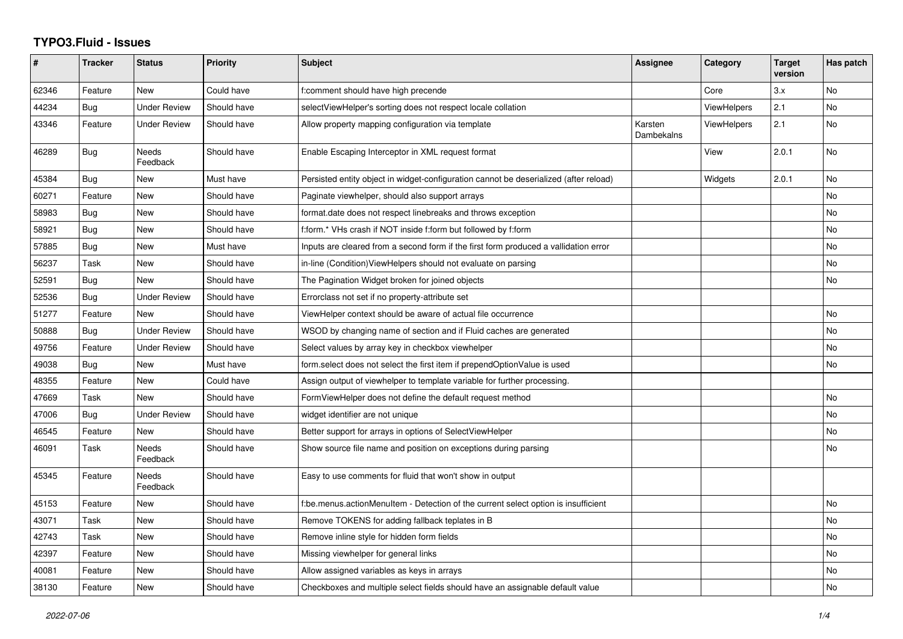## **TYPO3.Fluid - Issues**

| #     | <b>Tracker</b> | <b>Status</b>            | <b>Priority</b> | <b>Subject</b>                                                                        | Assignee              | Category           | <b>Target</b><br>version | Has patch |
|-------|----------------|--------------------------|-----------------|---------------------------------------------------------------------------------------|-----------------------|--------------------|--------------------------|-----------|
| 62346 | Feature        | <b>New</b>               | Could have      | f:comment should have high precende                                                   |                       | Core               | 3.x                      | <b>No</b> |
| 44234 | <b>Bug</b>     | <b>Under Review</b>      | Should have     | selectViewHelper's sorting does not respect locale collation                          |                       | <b>ViewHelpers</b> | 2.1                      | No.       |
| 43346 | Feature        | <b>Under Review</b>      | Should have     | Allow property mapping configuration via template                                     | Karsten<br>Dambekalns | ViewHelpers        | 2.1                      | No        |
| 46289 | <b>Bug</b>     | <b>Needs</b><br>Feedback | Should have     | Enable Escaping Interceptor in XML request format                                     |                       | View               | 2.0.1                    | No        |
| 45384 | Bug            | <b>New</b>               | Must have       | Persisted entity object in widget-configuration cannot be deserialized (after reload) |                       | Widgets            | 2.0.1                    | <b>No</b> |
| 60271 | Feature        | New                      | Should have     | Paginate viewhelper, should also support arrays                                       |                       |                    |                          | <b>No</b> |
| 58983 | Bug            | New                      | Should have     | format.date does not respect linebreaks and throws exception                          |                       |                    |                          | No        |
| 58921 | Bug            | <b>New</b>               | Should have     | f:form.* VHs crash if NOT inside f:form but followed by f:form                        |                       |                    |                          | <b>No</b> |
| 57885 | Bug            | New                      | Must have       | Inputs are cleared from a second form if the first form produced a vallidation error  |                       |                    |                          | No        |
| 56237 | Task           | <b>New</b>               | Should have     | in-line (Condition) ViewHelpers should not evaluate on parsing                        |                       |                    |                          | <b>No</b> |
| 52591 | Bug            | <b>New</b>               | Should have     | The Pagination Widget broken for joined objects                                       |                       |                    |                          | No        |
| 52536 | Bug            | <b>Under Review</b>      | Should have     | Errorclass not set if no property-attribute set                                       |                       |                    |                          |           |
| 51277 | Feature        | New                      | Should have     | ViewHelper context should be aware of actual file occurrence                          |                       |                    |                          | No        |
| 50888 | Bug            | <b>Under Review</b>      | Should have     | WSOD by changing name of section and if Fluid caches are generated                    |                       |                    |                          | <b>No</b> |
| 49756 | Feature        | <b>Under Review</b>      | Should have     | Select values by array key in checkbox viewhelper                                     |                       |                    |                          | No        |
| 49038 | Bug            | New                      | Must have       | form.select does not select the first item if prependOptionValue is used              |                       |                    |                          | No        |
| 48355 | Feature        | <b>New</b>               | Could have      | Assign output of viewhelper to template variable for further processing.              |                       |                    |                          |           |
| 47669 | Task           | <b>New</b>               | Should have     | FormViewHelper does not define the default request method                             |                       |                    |                          | <b>No</b> |
| 47006 | Bug            | <b>Under Review</b>      | Should have     | widget identifier are not unique                                                      |                       |                    |                          | No        |
| 46545 | Feature        | New                      | Should have     | Better support for arrays in options of SelectViewHelper                              |                       |                    |                          | <b>No</b> |
| 46091 | Task           | Needs<br>Feedback        | Should have     | Show source file name and position on exceptions during parsing                       |                       |                    |                          | No        |
| 45345 | Feature        | Needs<br>Feedback        | Should have     | Easy to use comments for fluid that won't show in output                              |                       |                    |                          |           |
| 45153 | Feature        | New                      | Should have     | f:be.menus.actionMenuItem - Detection of the current select option is insufficient    |                       |                    |                          | No        |
| 43071 | Task           | <b>New</b>               | Should have     | Remove TOKENS for adding fallback teplates in B                                       |                       |                    |                          | <b>No</b> |
| 42743 | Task           | New                      | Should have     | Remove inline style for hidden form fields                                            |                       |                    |                          | No        |
| 42397 | Feature        | <b>New</b>               | Should have     | Missing viewhelper for general links                                                  |                       |                    |                          | No        |
| 40081 | Feature        | New                      | Should have     | Allow assigned variables as keys in arrays                                            |                       |                    |                          | No        |
| 38130 | Feature        | New                      | Should have     | Checkboxes and multiple select fields should have an assignable default value         |                       |                    |                          | No        |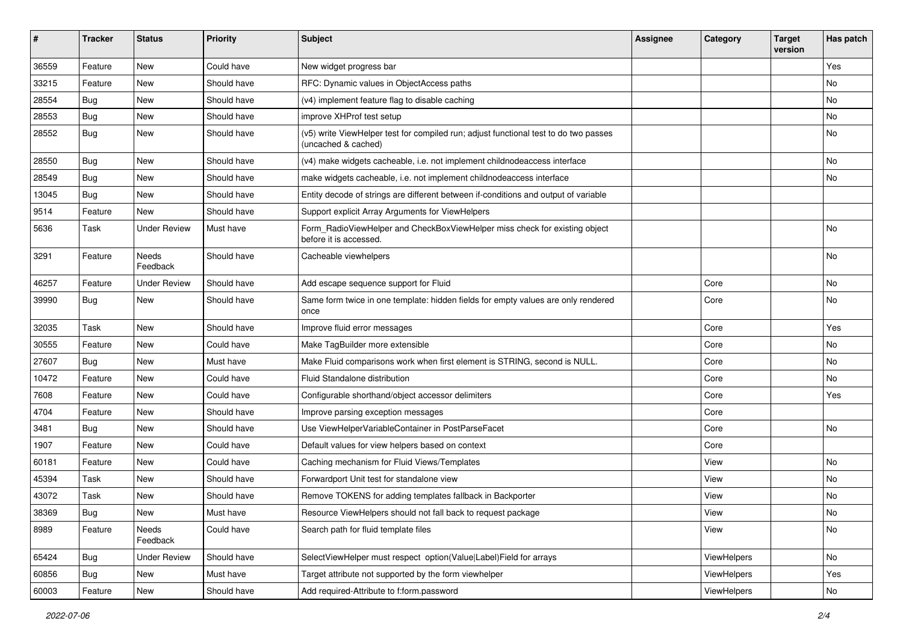| #     | <b>Tracker</b> | <b>Status</b>       | <b>Priority</b> | Subject                                                                                                     | <b>Assignee</b> | Category    | <b>Target</b><br>version | Has patch |
|-------|----------------|---------------------|-----------------|-------------------------------------------------------------------------------------------------------------|-----------------|-------------|--------------------------|-----------|
| 36559 | Feature        | New                 | Could have      | New widget progress bar                                                                                     |                 |             |                          | Yes       |
| 33215 | Feature        | New                 | Should have     | RFC: Dynamic values in ObjectAccess paths                                                                   |                 |             |                          | No        |
| 28554 | Bug            | New                 | Should have     | (v4) implement feature flag to disable caching                                                              |                 |             |                          | <b>No</b> |
| 28553 | Bug            | New                 | Should have     | improve XHProf test setup                                                                                   |                 |             |                          | No        |
| 28552 | Bug            | New                 | Should have     | (v5) write ViewHelper test for compiled run; adjust functional test to do two passes<br>(uncached & cached) |                 |             |                          | No        |
| 28550 | Bug            | New                 | Should have     | (v4) make widgets cacheable, i.e. not implement childnodeaccess interface                                   |                 |             |                          | No        |
| 28549 | Bug            | New                 | Should have     | make widgets cacheable, i.e. not implement childnodeaccess interface                                        |                 |             |                          | No        |
| 13045 | Bug            | New                 | Should have     | Entity decode of strings are different between if-conditions and output of variable                         |                 |             |                          |           |
| 9514  | Feature        | New                 | Should have     | Support explicit Array Arguments for ViewHelpers                                                            |                 |             |                          |           |
| 5636  | Task           | <b>Under Review</b> | Must have       | Form_RadioViewHelper and CheckBoxViewHelper miss check for existing object<br>before it is accessed.        |                 |             |                          | <b>No</b> |
| 3291  | Feature        | Needs<br>Feedback   | Should have     | Cacheable viewhelpers                                                                                       |                 |             |                          | <b>No</b> |
| 46257 | Feature        | Under Review        | Should have     | Add escape sequence support for Fluid                                                                       |                 | Core        |                          | No        |
| 39990 | Bug            | New                 | Should have     | Same form twice in one template: hidden fields for empty values are only rendered<br>once                   |                 | Core        |                          | No        |
| 32035 | Task           | New                 | Should have     | Improve fluid error messages                                                                                |                 | Core        |                          | Yes       |
| 30555 | Feature        | New                 | Could have      | Make TagBuilder more extensible                                                                             |                 | Core        |                          | <b>No</b> |
| 27607 | Bug            | New                 | Must have       | Make Fluid comparisons work when first element is STRING, second is NULL.                                   |                 | Core        |                          | No        |
| 10472 | Feature        | New                 | Could have      | Fluid Standalone distribution                                                                               |                 | Core        |                          | No        |
| 7608  | Feature        | New                 | Could have      | Configurable shorthand/object accessor delimiters                                                           |                 | Core        |                          | Yes       |
| 4704  | Feature        | New                 | Should have     | Improve parsing exception messages                                                                          |                 | Core        |                          |           |
| 3481  | Bug            | New                 | Should have     | Use ViewHelperVariableContainer in PostParseFacet                                                           |                 | Core        |                          | No        |
| 1907  | Feature        | New                 | Could have      | Default values for view helpers based on context                                                            |                 | Core        |                          |           |
| 60181 | Feature        | New                 | Could have      | Caching mechanism for Fluid Views/Templates                                                                 |                 | View        |                          | No        |
| 45394 | Task           | New                 | Should have     | Forwardport Unit test for standalone view                                                                   |                 | View        |                          | <b>No</b> |
| 43072 | Task           | New                 | Should have     | Remove TOKENS for adding templates fallback in Backporter                                                   |                 | View        |                          | No        |
| 38369 | <b>Bug</b>     | New                 | Must have       | Resource ViewHelpers should not fall back to request package                                                |                 | View        |                          | No        |
| 8989  | Feature        | Needs<br>Feedback   | Could have      | Search path for fluid template files                                                                        |                 | View        |                          | No        |
| 65424 | Bug            | <b>Under Review</b> | Should have     | SelectViewHelper must respect option(Value Label)Field for arrays                                           |                 | ViewHelpers |                          | No        |
| 60856 | Bug            | New                 | Must have       | Target attribute not supported by the form viewhelper                                                       |                 | ViewHelpers |                          | Yes       |
| 60003 | Feature        | New                 | Should have     | Add required-Attribute to f:form.password                                                                   |                 | ViewHelpers |                          | No        |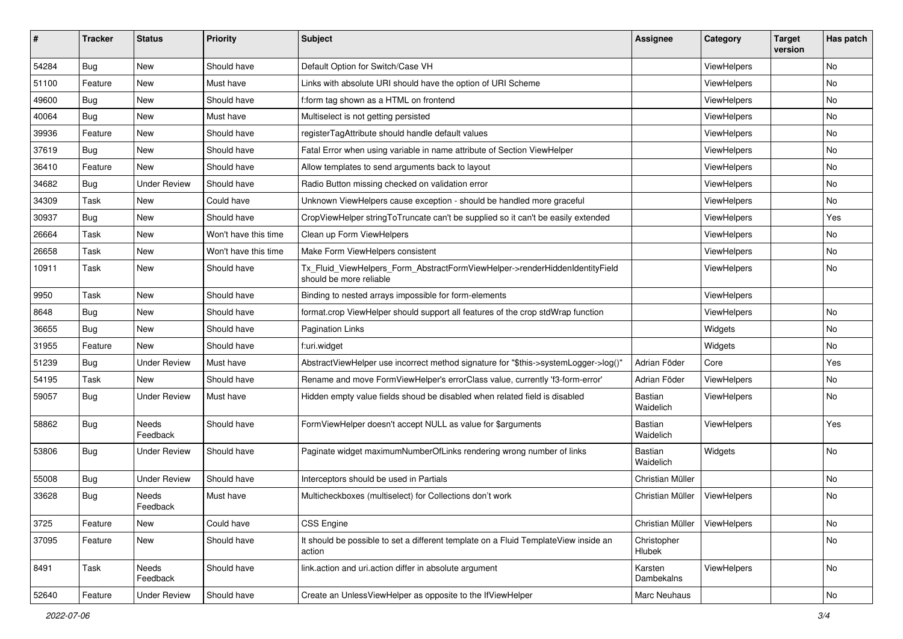| ∦     | <b>Tracker</b> | <b>Status</b>            | Priority             | Subject                                                                                                | <b>Assignee</b>             | Category    | <b>Target</b><br>version | Has patch |
|-------|----------------|--------------------------|----------------------|--------------------------------------------------------------------------------------------------------|-----------------------------|-------------|--------------------------|-----------|
| 54284 | Bug            | New                      | Should have          | Default Option for Switch/Case VH                                                                      |                             | ViewHelpers |                          | <b>No</b> |
| 51100 | Feature        | New                      | Must have            | Links with absolute URI should have the option of URI Scheme                                           |                             | ViewHelpers |                          | No        |
| 49600 | Bug            | New                      | Should have          | f:form tag shown as a HTML on frontend                                                                 |                             | ViewHelpers |                          | No        |
| 40064 | Bug            | New                      | Must have            | Multiselect is not getting persisted                                                                   |                             | ViewHelpers |                          | No        |
| 39936 | Feature        | New                      | Should have          | registerTagAttribute should handle default values                                                      |                             | ViewHelpers |                          | No        |
| 37619 | Bug            | New                      | Should have          | Fatal Error when using variable in name attribute of Section ViewHelper                                |                             | ViewHelpers |                          | No        |
| 36410 | Feature        | New                      | Should have          | Allow templates to send arguments back to layout                                                       |                             | ViewHelpers |                          | No        |
| 34682 | Bug            | <b>Under Review</b>      | Should have          | Radio Button missing checked on validation error                                                       |                             | ViewHelpers |                          | No        |
| 34309 | Task           | New                      | Could have           | Unknown ViewHelpers cause exception - should be handled more graceful                                  |                             | ViewHelpers |                          | <b>No</b> |
| 30937 | Bug            | New                      | Should have          | CropViewHelper stringToTruncate can't be supplied so it can't be easily extended                       |                             | ViewHelpers |                          | Yes       |
| 26664 | Task           | New                      | Won't have this time | Clean up Form ViewHelpers                                                                              |                             | ViewHelpers |                          | No        |
| 26658 | Task           | New                      | Won't have this time | Make Form ViewHelpers consistent                                                                       |                             | ViewHelpers |                          | No        |
| 10911 | Task           | New                      | Should have          | Tx_Fluid_ViewHelpers_Form_AbstractFormViewHelper->renderHiddenIdentityField<br>should be more reliable |                             | ViewHelpers |                          | No        |
| 9950  | Task           | New                      | Should have          | Binding to nested arrays impossible for form-elements                                                  |                             | ViewHelpers |                          |           |
| 8648  | Bug            | New                      | Should have          | format.crop ViewHelper should support all features of the crop stdWrap function                        |                             | ViewHelpers |                          | No        |
| 36655 | Bug            | New                      | Should have          | <b>Pagination Links</b>                                                                                |                             | Widgets     |                          | No        |
| 31955 | Feature        | New                      | Should have          | f:uri.widget                                                                                           |                             | Widgets     |                          | No        |
| 51239 | Bug            | <b>Under Review</b>      | Must have            | AbstractViewHelper use incorrect method signature for "\$this->systemLogger->log()"                    | Adrian Föder                | Core        |                          | Yes       |
| 54195 | Task           | <b>New</b>               | Should have          | Rename and move FormViewHelper's errorClass value, currently 'f3-form-error'                           | Adrian Föder                | ViewHelpers |                          | No        |
| 59057 | Bug            | <b>Under Review</b>      | Must have            | Hidden empty value fields shoud be disabled when related field is disabled                             | <b>Bastian</b><br>Waidelich | ViewHelpers |                          | No        |
| 58862 | Bug            | <b>Needs</b><br>Feedback | Should have          | FormViewHelper doesn't accept NULL as value for \$arguments                                            | Bastian<br>Waidelich        | ViewHelpers |                          | Yes       |
| 53806 | Bug            | <b>Under Review</b>      | Should have          | Paginate widget maximumNumberOfLinks rendering wrong number of links                                   | Bastian<br>Waidelich        | Widgets     |                          | No        |
| 55008 | Bug            | <b>Under Review</b>      | Should have          | Interceptors should be used in Partials                                                                | Christian Müller            |             |                          | No        |
| 33628 | Bug            | Needs<br>Feedback        | Must have            | Multicheckboxes (multiselect) for Collections don't work                                               | Christian Müller            | ViewHelpers |                          | No        |
| 3725  | Feature        | New                      | Could have           | <b>CSS Engine</b>                                                                                      | Christian Müller            | ViewHelpers |                          | No        |
| 37095 | Feature        | New                      | Should have          | It should be possible to set a different template on a Fluid TemplateView inside an<br>action          | Christopher<br>Hlubek       |             |                          | No        |
| 8491  | Task           | Needs<br>Feedback        | Should have          | link.action and uri.action differ in absolute argument                                                 | Karsten<br>Dambekalns       | ViewHelpers |                          | No        |
| 52640 | Feature        | <b>Under Review</b>      | Should have          | Create an UnlessViewHelper as opposite to the IfViewHelper                                             | Marc Neuhaus                |             |                          | No        |